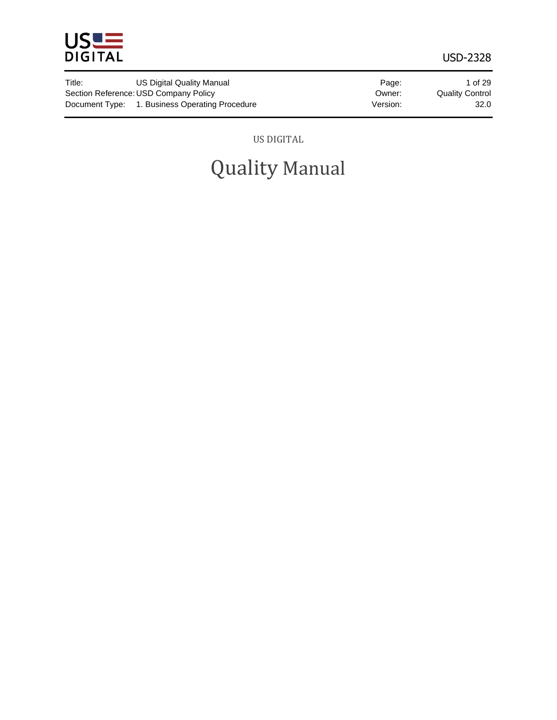

| Title: | US Digital Quality Manual                      | Page:    | 1 of 29                |
|--------|------------------------------------------------|----------|------------------------|
|        | Section Reference: USD Company Policy          | Owner:   | <b>Quality Control</b> |
|        | Document Type: 1. Business Operating Procedure | Version: | 32.0                   |

US DIGITAL

# Quality Manual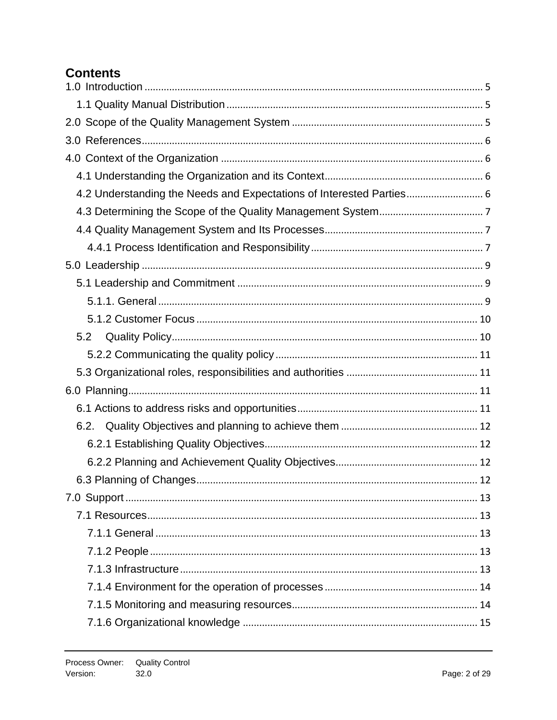# **Contents**

| 4.2 Understanding the Needs and Expectations of Interested Parties 6 |
|----------------------------------------------------------------------|
|                                                                      |
|                                                                      |
|                                                                      |
|                                                                      |
|                                                                      |
|                                                                      |
|                                                                      |
| 5.2                                                                  |
|                                                                      |
|                                                                      |
|                                                                      |
|                                                                      |
|                                                                      |
|                                                                      |
|                                                                      |
|                                                                      |
|                                                                      |
|                                                                      |
|                                                                      |
|                                                                      |
|                                                                      |
|                                                                      |
|                                                                      |
|                                                                      |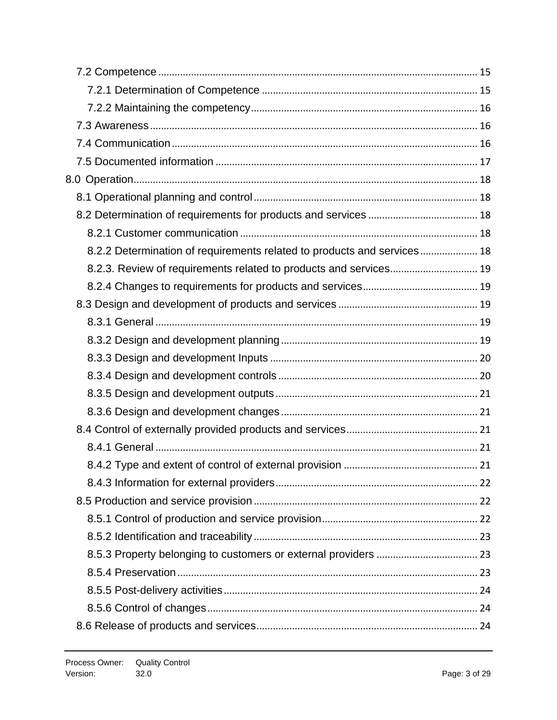| 8.2.2 Determination of requirements related to products and services 18 |  |
|-------------------------------------------------------------------------|--|
| 8.2.3. Review of requirements related to products and services 19       |  |
|                                                                         |  |
|                                                                         |  |
|                                                                         |  |
|                                                                         |  |
|                                                                         |  |
|                                                                         |  |
|                                                                         |  |
|                                                                         |  |
|                                                                         |  |
|                                                                         |  |
|                                                                         |  |
|                                                                         |  |
|                                                                         |  |
|                                                                         |  |
|                                                                         |  |
|                                                                         |  |
|                                                                         |  |
|                                                                         |  |
|                                                                         |  |
|                                                                         |  |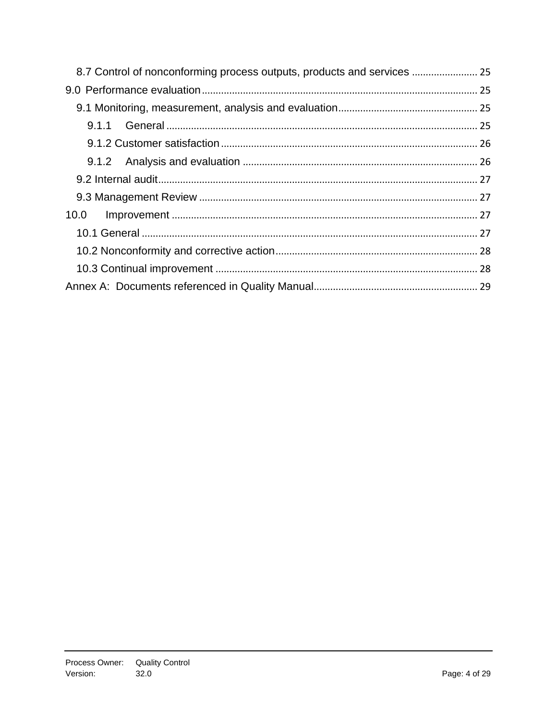| 10.0 |  |
|------|--|
|      |  |
|      |  |
|      |  |
|      |  |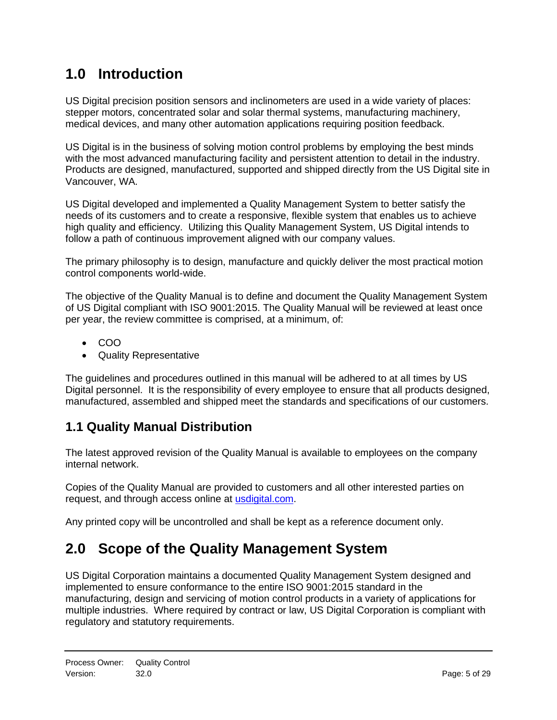# <span id="page-4-0"></span>**1.0 Introduction**

US Digital precision position sensors and inclinometers are used in a wide variety of places: stepper motors, concentrated solar and solar thermal systems, manufacturing machinery, medical devices, and many other automation applications requiring position feedback.

US Digital is in the business of solving motion control problems by employing the best minds with the most advanced manufacturing facility and persistent attention to detail in the industry. Products are designed, manufactured, supported and shipped directly from the US Digital site in Vancouver, WA.

US Digital developed and implemented a Quality Management System to better satisfy the needs of its customers and to create a responsive, flexible system that enables us to achieve high quality and efficiency. Utilizing this Quality Management System, US Digital intends to follow a path of continuous improvement aligned with our company values.

The primary philosophy is to design, manufacture and quickly deliver the most practical motion control components world-wide.

The objective of the Quality Manual is to define and document the Quality Management System of US Digital compliant with ISO 9001:2015. The Quality Manual will be reviewed at least once per year, the review committee is comprised, at a minimum, of:

- COO
- Quality Representative

The guidelines and procedures outlined in this manual will be adhered to at all times by US Digital personnel. It is the responsibility of every employee to ensure that all products designed, manufactured, assembled and shipped meet the standards and specifications of our customers.

# <span id="page-4-1"></span>**1.1 Quality Manual Distribution**

The latest approved revision of the Quality Manual is available to employees on the company internal network.

Copies of the Quality Manual are provided to customers and all other interested parties on request, and through access online at [usdigital.com.](usdigital.com)

<span id="page-4-2"></span>Any printed copy will be uncontrolled and shall be kept as a reference document only.

# **2.0 Scope of the Quality Management System**

US Digital Corporation maintains a documented Quality Management System designed and implemented to ensure conformance to the entire ISO 9001:2015 standard in the manufacturing, design and servicing of motion control products in a variety of applications for multiple industries. Where required by contract or law, US Digital Corporation is compliant with regulatory and statutory requirements.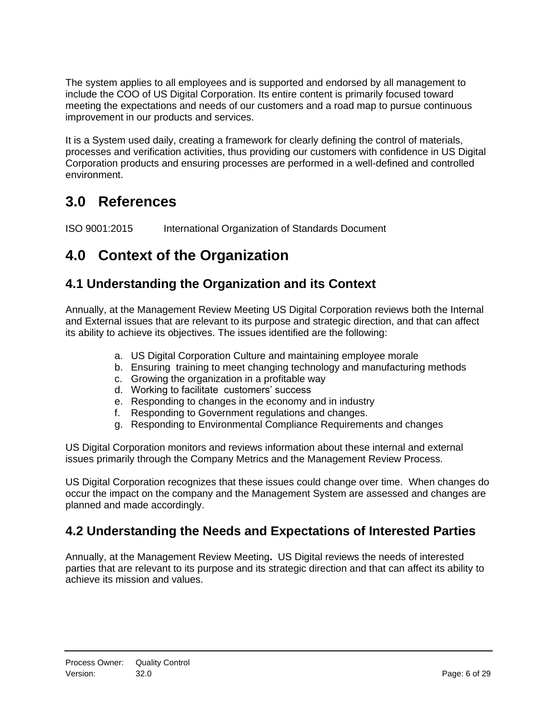The system applies to all employees and is supported and endorsed by all management to include the COO of US Digital Corporation. Its entire content is primarily focused toward meeting the expectations and needs of our customers and a road map to pursue continuous improvement in our products and services.

It is a System used daily, creating a framework for clearly defining the control of materials, processes and verification activities, thus providing our customers with confidence in US Digital Corporation products and ensuring processes are performed in a well-defined and controlled environment.

# <span id="page-5-0"></span>**3.0 References**

<span id="page-5-1"></span>ISO 9001:2015 International Organization of Standards Document

# **4.0 Context of the Organization**

# <span id="page-5-2"></span>**4.1 Understanding the Organization and its Context**

Annually, at the Management Review Meeting US Digital Corporation reviews both the Internal and External issues that are relevant to its purpose and strategic direction, and that can affect its ability to achieve its objectives. The issues identified are the following:

- a. US Digital Corporation Culture and maintaining employee morale
- b. Ensuring training to meet changing technology and manufacturing methods
- c. Growing the organization in a profitable way
- d. Working to facilitate customers' success
- e. Responding to changes in the economy and in industry
- f. Responding to Government regulations and changes.
- g. Responding to Environmental Compliance Requirements and changes

US Digital Corporation monitors and reviews information about these internal and external issues primarily through the Company Metrics and the Management Review Process.

US Digital Corporation recognizes that these issues could change over time. When changes do occur the impact on the company and the Management System are assessed and changes are planned and made accordingly.

# <span id="page-5-3"></span>**4.2 Understanding the Needs and Expectations of Interested Parties**

Annually, at the Management Review Meeting**.** US Digital reviews the needs of interested parties that are relevant to its purpose and its strategic direction and that can affect its ability to achieve its mission and values.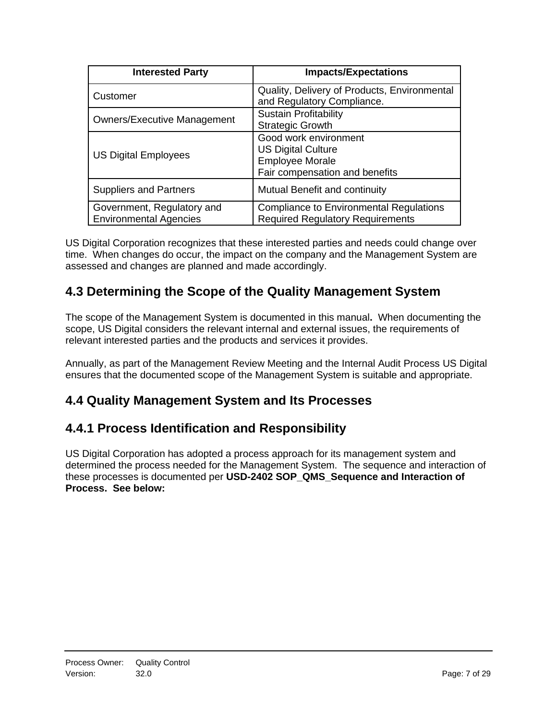| <b>Interested Party</b>                                     | <b>Impacts/Expectations</b>                                                                                    |
|-------------------------------------------------------------|----------------------------------------------------------------------------------------------------------------|
| Customer                                                    | Quality, Delivery of Products, Environmental<br>and Regulatory Compliance.                                     |
| <b>Owners/Executive Management</b>                          | <b>Sustain Profitability</b><br><b>Strategic Growth</b>                                                        |
| <b>US Digital Employees</b>                                 | Good work environment<br><b>US Digital Culture</b><br><b>Employee Morale</b><br>Fair compensation and benefits |
| <b>Suppliers and Partners</b>                               | Mutual Benefit and continuity                                                                                  |
| Government, Regulatory and<br><b>Environmental Agencies</b> | <b>Compliance to Environmental Regulations</b><br><b>Required Regulatory Requirements</b>                      |

US Digital Corporation recognizes that these interested parties and needs could change over time. When changes do occur, the impact on the company and the Management System are assessed and changes are planned and made accordingly.

# <span id="page-6-0"></span>**4.3 Determining the Scope of the Quality Management System**

The scope of the Management System is documented in this manual**.** When documenting the scope, US Digital considers the relevant internal and external issues, the requirements of relevant interested parties and the products and services it provides.

Annually, as part of the Management Review Meeting and the Internal Audit Process US Digital ensures that the documented scope of the Management System is suitable and appropriate.

# <span id="page-6-1"></span>**4.4 Quality Management System and Its Processes**

# <span id="page-6-2"></span>**4.4.1 Process Identification and Responsibility**

US Digital Corporation has adopted a process approach for its management system and determined the process needed for the Management System. The sequence and interaction of these processes is documented per **USD-2402 SOP\_QMS\_Sequence and Interaction of Process. See below:**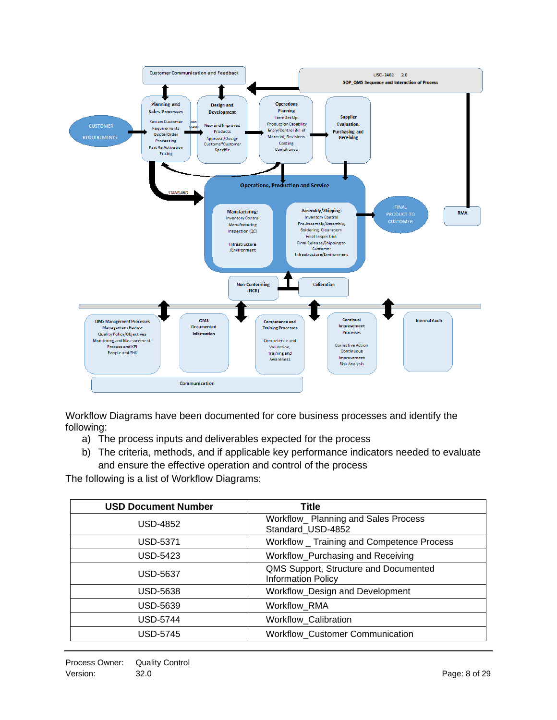

Workflow Diagrams have been documented for core business processes and identify the following:

- a) The process inputs and deliverables expected for the process
- b) The criteria, methods, and if applicable key performance indicators needed to evaluate and ensure the effective operation and control of the process

The following is a list of Workflow Diagrams:

| <b>USD Document Number</b> | Title                                                              |
|----------------------------|--------------------------------------------------------------------|
| <b>USD-4852</b>            | Workflow_ Planning and Sales Process<br>Standard_USD-4852          |
| USD-5371                   | Workflow _ Training and Competence Process                         |
| USD-5423                   | Workflow_Purchasing and Receiving                                  |
| USD-5637                   | QMS Support, Structure and Documented<br><b>Information Policy</b> |
| <b>USD-5638</b>            | Workflow_Design and Development                                    |
| <b>USD-5639</b>            | <b>Workflow RMA</b>                                                |
| <b>USD-5744</b>            | Workflow_Calibration                                               |
| <b>USD-5745</b>            | <b>Workflow_Customer Communication</b>                             |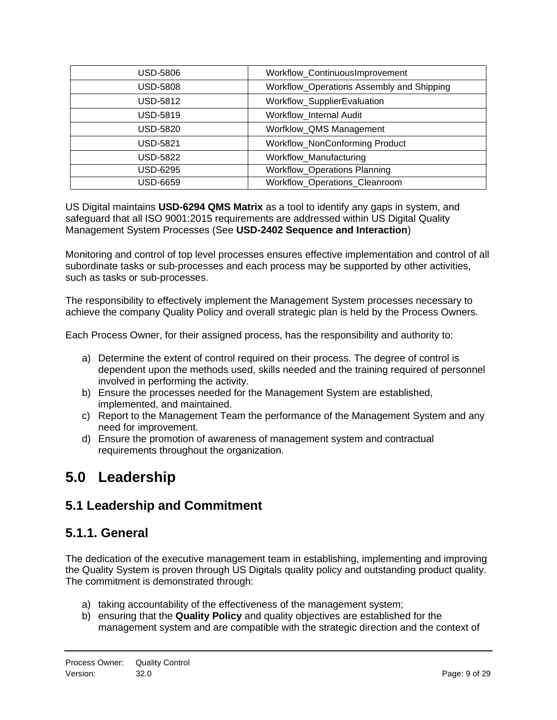| USD-5806 | Workflow_ContinuousImprovement            |
|----------|-------------------------------------------|
| USD-5808 | Workflow_Operations Assembly and Shipping |
| USD-5812 | Workflow_SupplierEvaluation               |
| USD-5819 | Workflow Internal Audit                   |
| USD-5820 | Worfklow_QMS Management                   |
| USD-5821 | Workflow_NonConforming Product            |
| USD-5822 | Workflow Manufacturing                    |
| USD-6295 | <b>Workflow_Operations Planning</b>       |
| USD-6659 | Workflow_Operations_Cleanroom             |

US Digital maintains **USD-6294 QMS Matrix** as a tool to identify any gaps in system, and safeguard that all ISO 9001:2015 requirements are addressed within US Digital Quality Management System Processes (See **USD-2402 Sequence and Interaction**)

Monitoring and control of top level processes ensures effective implementation and control of all subordinate tasks or sub-processes and each process may be supported by other activities, such as tasks or sub-processes.

The responsibility to effectively implement the Management System processes necessary to achieve the company Quality Policy and overall strategic plan is held by the Process Owners.

Each Process Owner, for their assigned process, has the responsibility and authority to:

- a) Determine the extent of control required on their process. The degree of control is dependent upon the methods used, skills needed and the training required of personnel involved in performing the activity.
- b) Ensure the processes needed for the Management System are established, implemented, and maintained.
- c) Report to the Management Team the performance of the Management System and any need for improvement.
- d) Ensure the promotion of awareness of management system and contractual requirements throughout the organization.

# <span id="page-8-0"></span>**5.0 Leadership**

# <span id="page-8-1"></span>**5.1 Leadership and Commitment**

# <span id="page-8-2"></span>**5.1.1. General**

The dedication of the executive management team in establishing, implementing and improving the Quality System is proven through US Digitals quality policy and outstanding product quality. The commitment is demonstrated through:

- a) taking accountability of the effectiveness of the management system;
- b) ensuring that the **Quality Policy** and quality objectives are established for the management system and are compatible with the strategic direction and the context of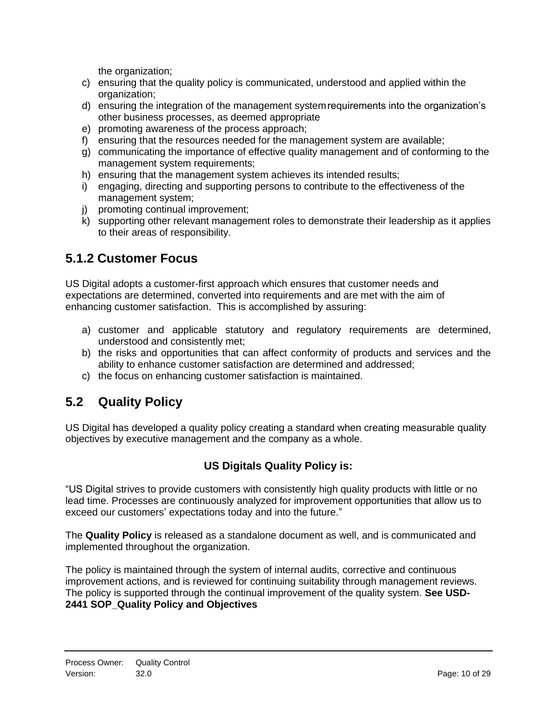the organization;

- c) ensuring that the quality policy is communicated, understood and applied within the organization;
- d) ensuring the integration of the management systemrequirements into the organization's other business processes, as deemed appropriate
- e) promoting awareness of the process approach;
- f) ensuring that the resources needed for the management system are available;
- g) communicating the importance of effective quality management and of conforming to the management system requirements;
- h) ensuring that the management system achieves its intended results;
- i) engaging, directing and supporting persons to contribute to the effectiveness of the management system;
- j) promoting continual improvement;
- k) supporting other relevant management roles to demonstrate their leadership as it applies to their areas of responsibility.

# <span id="page-9-0"></span>**5.1.2 Customer Focus**

US Digital adopts a customer-first approach which ensures that customer needs and expectations are determined, converted into requirements and are met with the aim of enhancing customer satisfaction. This is accomplished by assuring:

- a) customer and applicable statutory and regulatory requirements are determined, understood and consistently met;
- b) the risks and opportunities that can affect conformity of products and services and the ability to enhance customer satisfaction are determined and addressed;
- c) the focus on enhancing customer satisfaction is maintained.

# <span id="page-9-1"></span>**5.2 Quality Policy**

US Digital has developed a quality policy creating a standard when creating measurable quality objectives by executive management and the company as a whole.

#### **US Digitals Quality Policy is:**

"US Digital strives to provide customers with consistently high quality products with little or no lead time. Processes are continuously analyzed for improvement opportunities that allow us to exceed our customers' expectations today and into the future."

The **Quality Policy** is released as a standalone document as well, and is communicated and implemented throughout the organization.

The policy is maintained through the system of internal audits, corrective and continuous improvement actions, and is reviewed for continuing suitability through management reviews. The policy is supported through the continual improvement of the quality system. **See USD-2441 SOP\_Quality Policy and Objectives**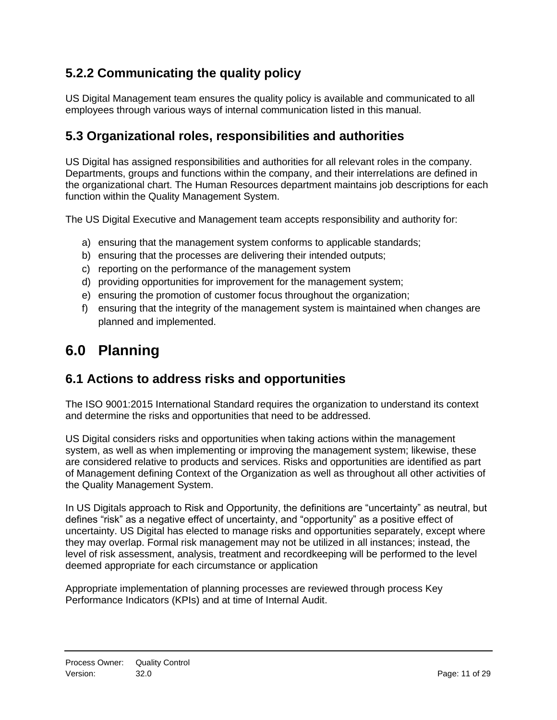# <span id="page-10-0"></span>**5.2.2 Communicating the quality policy**

US Digital Management team ensures the quality policy is available and communicated to all employees through various ways of internal communication listed in this manual.

# <span id="page-10-1"></span>**5.3 Organizational roles, responsibilities and authorities**

US Digital has assigned responsibilities and authorities for all relevant roles in the company. Departments, groups and functions within the company, and their interrelations are defined in the organizational chart. The Human Resources department maintains job descriptions for each function within the Quality Management System.

The US Digital Executive and Management team accepts responsibility and authority for:

- a) ensuring that the management system conforms to applicable standards;
- b) ensuring that the processes are delivering their intended outputs;
- c) reporting on the performance of the management system
- d) providing opportunities for improvement for the management system;
- e) ensuring the promotion of customer focus throughout the organization;
- f) ensuring that the integrity of the management system is maintained when changes are planned and implemented.

# <span id="page-10-2"></span>**6.0 Planning**

# <span id="page-10-3"></span>**6.1 Actions to address risks and opportunities**

The ISO 9001:2015 International Standard requires the organization to understand its context and determine the risks and opportunities that need to be addressed.

US Digital considers risks and opportunities when taking actions within the management system, as well as when implementing or improving the management system; likewise, these are considered relative to products and services. Risks and opportunities are identified as part of Management defining Context of the Organization as well as throughout all other activities of the Quality Management System.

In US Digitals approach to Risk and Opportunity, the definitions are "uncertainty" as neutral, but defines "risk" as a negative effect of uncertainty, and "opportunity" as a positive effect of uncertainty. US Digital has elected to manage risks and opportunities separately, except where they may overlap. Formal risk management may not be utilized in all instances; instead, the level of risk assessment, analysis, treatment and recordkeeping will be performed to the level deemed appropriate for each circumstance or application

Appropriate implementation of planning processes are reviewed through process Key Performance Indicators (KPIs) and at time of Internal Audit.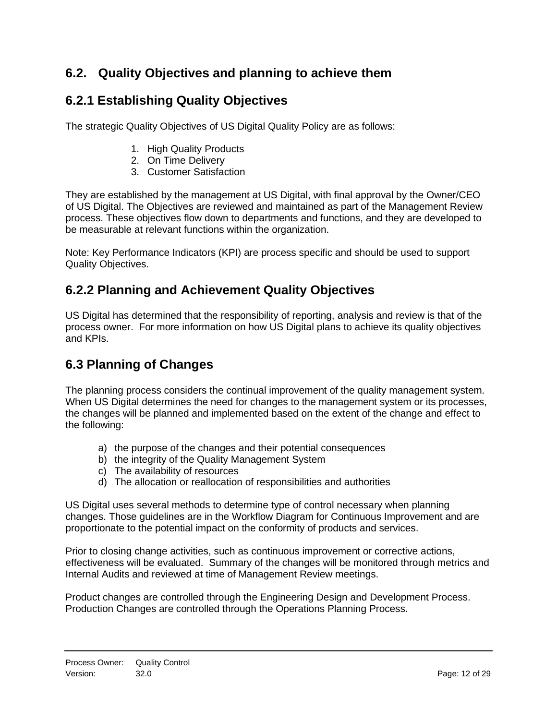# <span id="page-11-0"></span>**6.2. Quality Objectives and planning to achieve them**

# <span id="page-11-1"></span>**6.2.1 Establishing Quality Objectives**

The strategic Quality Objectives of US Digital Quality Policy are as follows:

- 1. High Quality Products
- 2. On Time Delivery
- 3. Customer Satisfaction

They are established by the management at US Digital, with final approval by the Owner/CEO of US Digital. The Objectives are reviewed and maintained as part of the Management Review process. These objectives flow down to departments and functions, and they are developed to be measurable at relevant functions within the organization.

Note: Key Performance Indicators (KPI) are process specific and should be used to support Quality Objectives.

# <span id="page-11-2"></span>**6.2.2 Planning and Achievement Quality Objectives**

US Digital has determined that the responsibility of reporting, analysis and review is that of the process owner. For more information on how US Digital plans to achieve its quality objectives and KPIs.

# <span id="page-11-3"></span>**6.3 Planning of Changes**

The planning process considers the continual improvement of the quality management system. When US Digital determines the need for changes to the management system or its processes, the changes will be planned and implemented based on the extent of the change and effect to the following:

- a) the purpose of the changes and their potential consequences
- b) the integrity of the Quality Management System
- c) The availability of resources
- d) The allocation or reallocation of responsibilities and authorities

US Digital uses several methods to determine type of control necessary when planning changes. Those guidelines are in the Workflow Diagram for Continuous Improvement and are proportionate to the potential impact on the conformity of products and services.

Prior to closing change activities, such as continuous improvement or corrective actions, effectiveness will be evaluated. Summary of the changes will be monitored through metrics and Internal Audits and reviewed at time of Management Review meetings.

Product changes are controlled through the Engineering Design and Development Process. Production Changes are controlled through the Operations Planning Process.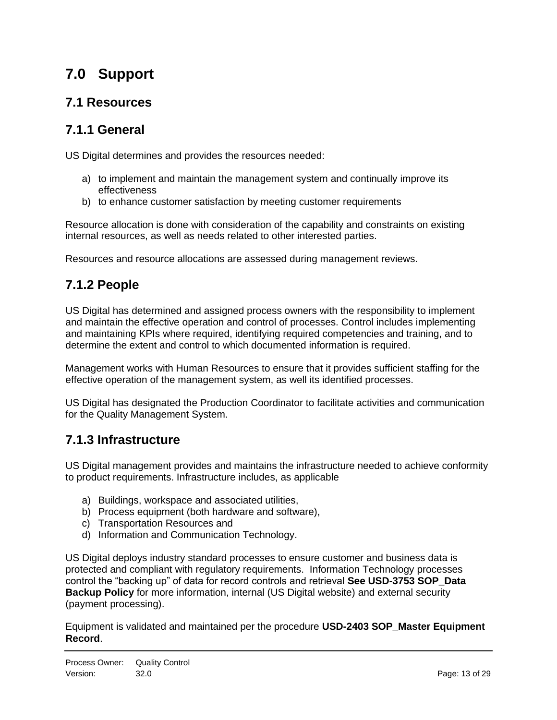# <span id="page-12-0"></span>**7.0 Support**

#### <span id="page-12-1"></span>**7.1 Resources**

#### <span id="page-12-2"></span>**7.1.1 General**

US Digital determines and provides the resources needed:

- a) to implement and maintain the management system and continually improve its effectiveness
- b) to enhance customer satisfaction by meeting customer requirements

Resource allocation is done with consideration of the capability and constraints on existing internal resources, as well as needs related to other interested parties.

<span id="page-12-3"></span>Resources and resource allocations are assessed during management reviews.

# **7.1.2 People**

US Digital has determined and assigned process owners with the responsibility to implement and maintain the effective operation and control of processes. Control includes implementing and maintaining KPIs where required, identifying required competencies and training, and to determine the extent and control to which documented information is required.

Management works with Human Resources to ensure that it provides sufficient staffing for the effective operation of the management system, as well its identified processes.

US Digital has designated the Production Coordinator to facilitate activities and communication for the Quality Management System.

#### <span id="page-12-4"></span>**7.1.3 Infrastructure**

US Digital management provides and maintains the infrastructure needed to achieve conformity to product requirements. Infrastructure includes, as applicable

- a) Buildings, workspace and associated utilities,
- b) Process equipment (both hardware and software),
- c) Transportation Resources and
- d) Information and Communication Technology.

US Digital deploys industry standard processes to ensure customer and business data is protected and compliant with regulatory requirements. Information Technology processes control the "backing up" of data for record controls and retrieval **See USD-3753 SOP\_Data Backup Policy** for more information, internal (US Digital website) and external security (payment processing).

Equipment is validated and maintained per the procedure **USD-2403 SOP\_Master Equipment Record**.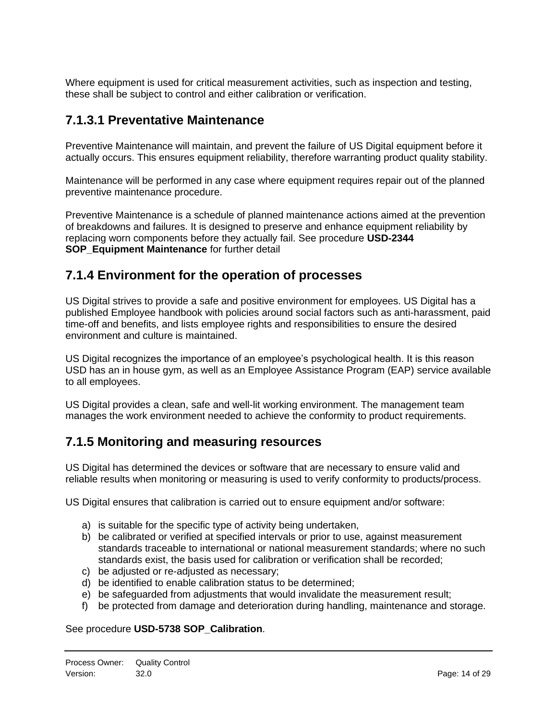Where equipment is used for critical measurement activities, such as inspection and testing, these shall be subject to control and either calibration or verification.

#### **7.1.3.1 Preventative Maintenance**

Preventive Maintenance will maintain, and prevent the failure of US Digital equipment before it actually occurs. This ensures equipment reliability, therefore warranting product quality stability.

Maintenance will be performed in any case where equipment requires repair out of the planned preventive maintenance procedure.

Preventive Maintenance is a schedule of planned maintenance actions aimed at the prevention of breakdowns and failures. It is designed to preserve and enhance equipment reliability by replacing worn components before they actually fail. See procedure **USD-2344 SOP** Equipment Maintenance for further detail

#### <span id="page-13-0"></span>**7.1.4 Environment for the operation of processes**

US Digital strives to provide a safe and positive environment for employees. US Digital has a published Employee handbook with policies around social factors such as anti-harassment, paid time-off and benefits, and lists employee rights and responsibilities to ensure the desired environment and culture is maintained.

US Digital recognizes the importance of an employee's psychological health. It is this reason USD has an in house gym, as well as an Employee Assistance Program (EAP) service available to all employees.

US Digital provides a clean, safe and well-lit working environment. The management team manages the work environment needed to achieve the conformity to product requirements.

# <span id="page-13-1"></span>**7.1.5 Monitoring and measuring resources**

US Digital has determined the devices or software that are necessary to ensure valid and reliable results when monitoring or measuring is used to verify conformity to products/process.

US Digital ensures that calibration is carried out to ensure equipment and/or software:

- a) is suitable for the specific type of activity being undertaken,
- b) be calibrated or verified at specified intervals or prior to use, against measurement standards traceable to international or national measurement standards; where no such standards exist, the basis used for calibration or verification shall be recorded;
- c) be adjusted or re-adjusted as necessary;
- d) be identified to enable calibration status to be determined;
- e) be safeguarded from adjustments that would invalidate the measurement result;
- f) be protected from damage and deterioration during handling, maintenance and storage.

#### See procedure **USD-5738 SOP\_Calibration**.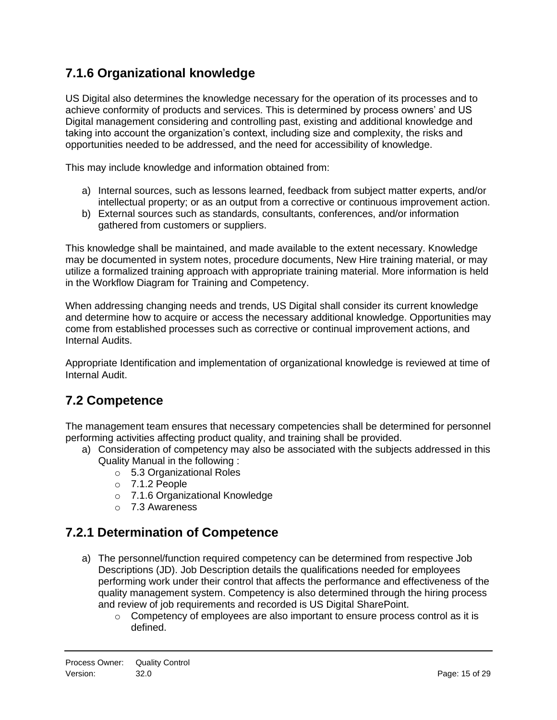# <span id="page-14-0"></span>**7.1.6 Organizational knowledge**

US Digital also determines the knowledge necessary for the operation of its processes and to achieve conformity of products and services. This is determined by process owners' and US Digital management considering and controlling past, existing and additional knowledge and taking into account the organization's context, including size and complexity, the risks and opportunities needed to be addressed, and the need for accessibility of knowledge.

This may include knowledge and information obtained from:

- a) Internal sources, such as lessons learned, feedback from subject matter experts, and/or intellectual property; or as an output from a corrective or continuous improvement action.
- b) External sources such as standards, consultants, conferences, and/or information gathered from customers or suppliers.

This knowledge shall be maintained, and made available to the extent necessary. Knowledge may be documented in system notes, procedure documents, New Hire training material, or may utilize a formalized training approach with appropriate training material. More information is held in the Workflow Diagram for Training and Competency.

When addressing changing needs and trends, US Digital shall consider its current knowledge and determine how to acquire or access the necessary additional knowledge. Opportunities may come from established processes such as corrective or continual improvement actions, and Internal Audits.

Appropriate Identification and implementation of organizational knowledge is reviewed at time of Internal Audit.

# <span id="page-14-1"></span>**7.2 Competence**

The management team ensures that necessary competencies shall be determined for personnel performing activities affecting product quality, and training shall be provided.

- a) Consideration of competency may also be associated with the subjects addressed in this Quality Manual in the following :
	- o 5.3 Organizational Roles
	- o 7.1.2 People
	- o 7.1.6 Organizational Knowledge
	- o 7.3 Awareness

# <span id="page-14-2"></span>**7.2.1 Determination of Competence**

- a) The personnel/function required competency can be determined from respective Job Descriptions (JD). Job Description details the qualifications needed for employees performing work under their control that affects the performance and effectiveness of the quality management system. Competency is also determined through the hiring process and review of job requirements and recorded is US Digital SharePoint.
	- $\circ$  Competency of employees are also important to ensure process control as it is defined.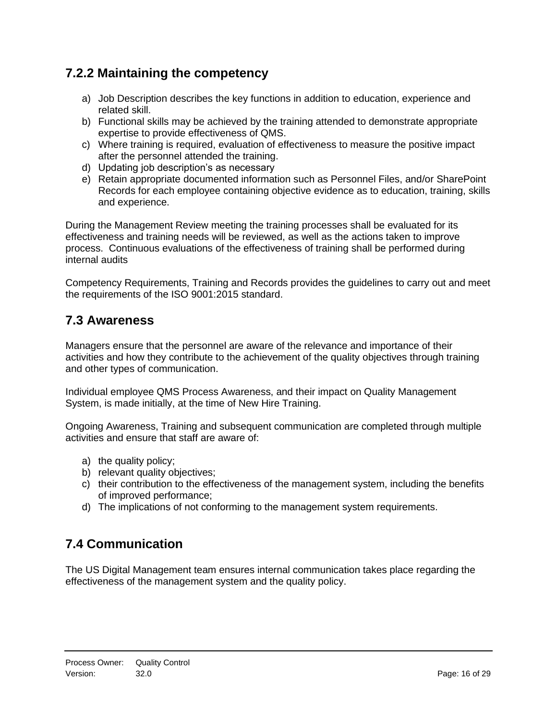# <span id="page-15-0"></span>**7.2.2 Maintaining the competency**

- a) Job Description describes the key functions in addition to education, experience and related skill.
- b) Functional skills may be achieved by the training attended to demonstrate appropriate expertise to provide effectiveness of QMS.
- c) Where training is required, evaluation of effectiveness to measure the positive impact after the personnel attended the training.
- d) Updating job description's as necessary
- e) Retain appropriate documented information such as Personnel Files, and/or SharePoint Records for each employee containing objective evidence as to education, training, skills and experience.

During the Management Review meeting the training processes shall be evaluated for its effectiveness and training needs will be reviewed, as well as the actions taken to improve process. Continuous evaluations of the effectiveness of training shall be performed during internal audits

Competency Requirements, Training and Records provides the guidelines to carry out and meet the requirements of the ISO 9001:2015 standard.

#### <span id="page-15-1"></span>**7.3 Awareness**

Managers ensure that the personnel are aware of the relevance and importance of their activities and how they contribute to the achievement of the quality objectives through training and other types of communication.

Individual employee QMS Process Awareness, and their impact on Quality Management System, is made initially, at the time of New Hire Training.

Ongoing Awareness, Training and subsequent communication are completed through multiple activities and ensure that staff are aware of:

- a) the quality policy;
- b) relevant quality objectives;
- c) their contribution to the effectiveness of the management system, including the benefits of improved performance;
- d) The implications of not conforming to the management system requirements.

# <span id="page-15-2"></span>**7.4 Communication**

The US Digital Management team ensures internal communication takes place regarding the effectiveness of the management system and the quality policy.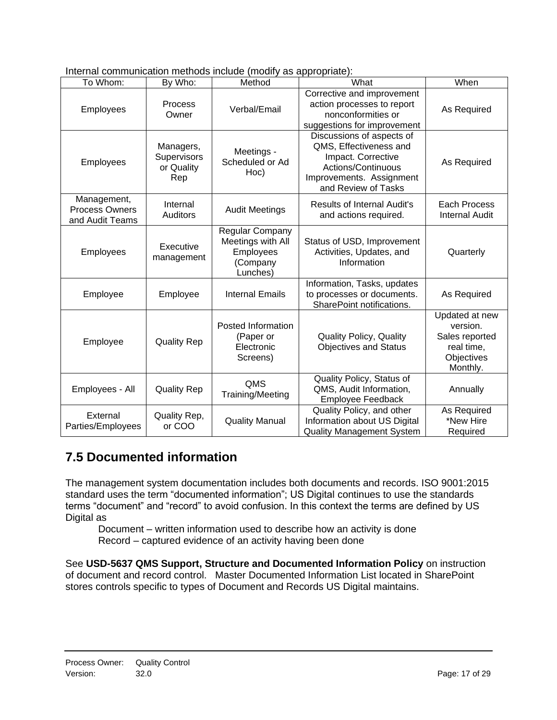| Internal communication methods include (modify as appropriate): |  |  |  |  |
|-----------------------------------------------------------------|--|--|--|--|
|                                                                 |  |  |  |  |

| To Whom:                                         | By Who:                                       | $10000$ $100000$ $100000$ $90000$ $10000$<br>Method                       | What                                                                                                                                               | When                                                                                 |
|--------------------------------------------------|-----------------------------------------------|---------------------------------------------------------------------------|----------------------------------------------------------------------------------------------------------------------------------------------------|--------------------------------------------------------------------------------------|
| Employees                                        | Process<br>Owner                              | Verbal/Email                                                              | Corrective and improvement<br>action processes to report<br>nonconformities or<br>suggestions for improvement                                      | As Required                                                                          |
| Employees                                        | Managers,<br>Supervisors<br>or Quality<br>Rep | Meetings -<br>Scheduled or Ad<br>Hoc)                                     | Discussions of aspects of<br>QMS, Effectiveness and<br>Impact. Corrective<br>Actions/Continuous<br>Improvements. Assignment<br>and Review of Tasks | As Required                                                                          |
| Management,<br>Process Owners<br>and Audit Teams | Internal<br>Auditors                          | <b>Audit Meetings</b>                                                     | <b>Results of Internal Audit's</b><br>and actions required.                                                                                        | Each Process<br><b>Internal Audit</b>                                                |
| Employees                                        | Executive<br>management                       | Regular Company<br>Meetings with All<br>Employees<br>(Company<br>Lunches) | Status of USD, Improvement<br>Activities, Updates, and<br>Information                                                                              | Quarterly                                                                            |
| Employee                                         | Employee                                      | <b>Internal Emails</b>                                                    | Information, Tasks, updates<br>to processes or documents.<br>SharePoint notifications.                                                             | As Required                                                                          |
| Employee                                         | <b>Quality Rep</b>                            | Posted Information<br>(Paper or<br>Electronic<br>Screens)                 | Quality Policy, Quality<br><b>Objectives and Status</b>                                                                                            | Updated at new<br>version.<br>Sales reported<br>real time,<br>Objectives<br>Monthly. |
| Employees - All                                  | <b>Quality Rep</b>                            | QMS<br>Training/Meeting                                                   | Quality Policy, Status of<br>QMS, Audit Information,<br><b>Employee Feedback</b>                                                                   | Annually                                                                             |
| External<br>Parties/Employees                    | Quality Rep,<br>or COO                        | <b>Quality Manual</b>                                                     | Quality Policy, and other<br>Information about US Digital<br><b>Quality Management System</b>                                                      | As Required<br>*New Hire<br>Required                                                 |

# <span id="page-16-0"></span>**7.5 Documented information**

The management system documentation includes both documents and records. ISO 9001:2015 standard uses the term "documented information"; US Digital continues to use the standards terms "document" and "record" to avoid confusion. In this context the terms are defined by US Digital as

Document – written information used to describe how an activity is done Record – captured evidence of an activity having been done

See **USD-5637 QMS Support, Structure and Documented Information Policy** on instruction of document and record control. Master Documented Information List located in SharePoint stores controls specific to types of Document and Records US Digital maintains.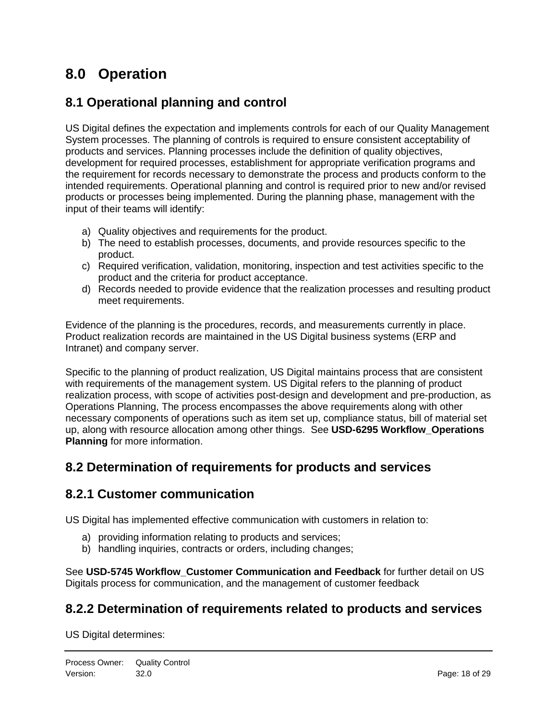# <span id="page-17-0"></span>**8.0 Operation**

#### <span id="page-17-1"></span>**8.1 Operational planning and control**

US Digital defines the expectation and implements controls for each of our Quality Management System processes. The planning of controls is required to ensure consistent acceptability of products and services. Planning processes include the definition of quality objectives, development for required processes, establishment for appropriate verification programs and the requirement for records necessary to demonstrate the process and products conform to the intended requirements. Operational planning and control is required prior to new and/or revised products or processes being implemented. During the planning phase, management with the input of their teams will identify:

- a) Quality objectives and requirements for the product.
- b) The need to establish processes, documents, and provide resources specific to the product.
- c) Required verification, validation, monitoring, inspection and test activities specific to the product and the criteria for product acceptance.
- d) Records needed to provide evidence that the realization processes and resulting product meet requirements.

Evidence of the planning is the procedures, records, and measurements currently in place. Product realization records are maintained in the US Digital business systems (ERP and Intranet) and company server.

Specific to the planning of product realization, US Digital maintains process that are consistent with requirements of the management system. US Digital refers to the planning of product realization process, with scope of activities post-design and development and pre-production, as Operations Planning, The process encompasses the above requirements along with other necessary components of operations such as item set up, compliance status, bill of material set up, along with resource allocation among other things. See **USD-6295 Workflow\_Operations Planning** for more information.

#### <span id="page-17-2"></span>**8.2 Determination of requirements for products and services**

#### <span id="page-17-3"></span>**8.2.1 Customer communication**

US Digital has implemented effective communication with customers in relation to:

- a) providing information relating to products and services;
- b) handling inquiries, contracts or orders, including changes;

See **USD-5745 Workflow\_Customer Communication and Feedback** for further detail on US Digitals process for communication, and the management of customer feedback

# <span id="page-17-4"></span>**8.2.2 Determination of requirements related to products and services**

US Digital determines: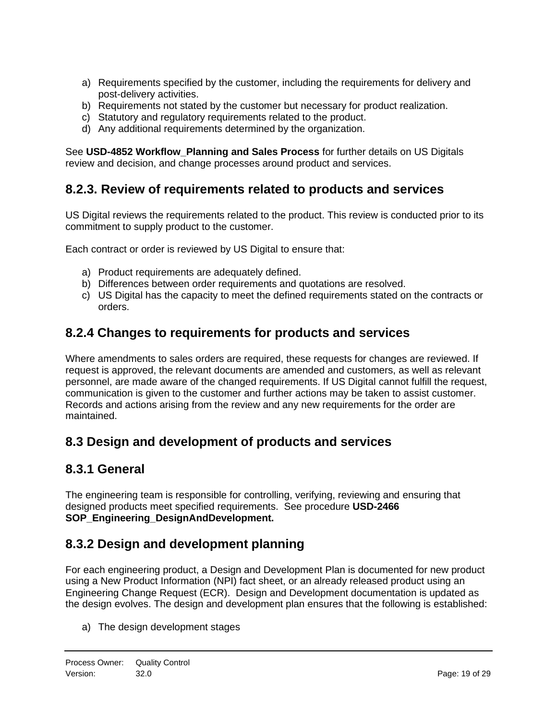- a) Requirements specified by the customer, including the requirements for delivery and post-delivery activities.
- b) Requirements not stated by the customer but necessary for product realization.
- c) Statutory and regulatory requirements related to the product.
- d) Any additional requirements determined by the organization.

See **USD-4852 Workflow\_Planning and Sales Process** for further details on US Digitals review and decision, and change processes around product and services.

#### <span id="page-18-0"></span>**8.2.3. Review of requirements related to products and services**

US Digital reviews the requirements related to the product. This review is conducted prior to its commitment to supply product to the customer.

Each contract or order is reviewed by US Digital to ensure that:

- a) Product requirements are adequately defined.
- b) Differences between order requirements and quotations are resolved.
- c) US Digital has the capacity to meet the defined requirements stated on the contracts or orders.

#### <span id="page-18-1"></span>**8.2.4 Changes to requirements for products and services**

Where amendments to sales orders are required, these requests for changes are reviewed. If request is approved, the relevant documents are amended and customers, as well as relevant personnel, are made aware of the changed requirements. If US Digital cannot fulfill the request, communication is given to the customer and further actions may be taken to assist customer. Records and actions arising from the review and any new requirements for the order are maintained.

# <span id="page-18-2"></span>**8.3 Design and development of products and services**

#### <span id="page-18-3"></span>**8.3.1 General**

The engineering team is responsible for controlling, verifying, reviewing and ensuring that designed products meet specified requirements. See procedure **USD-2466 SOP\_Engineering\_DesignAndDevelopment.**

# <span id="page-18-4"></span>**8.3.2 Design and development planning**

For each engineering product, a Design and Development Plan is documented for new product using a New Product Information (NPI) fact sheet, or an already released product using an Engineering Change Request (ECR). Design and Development documentation is updated as the design evolves. The design and development plan ensures that the following is established:

a) The design development stages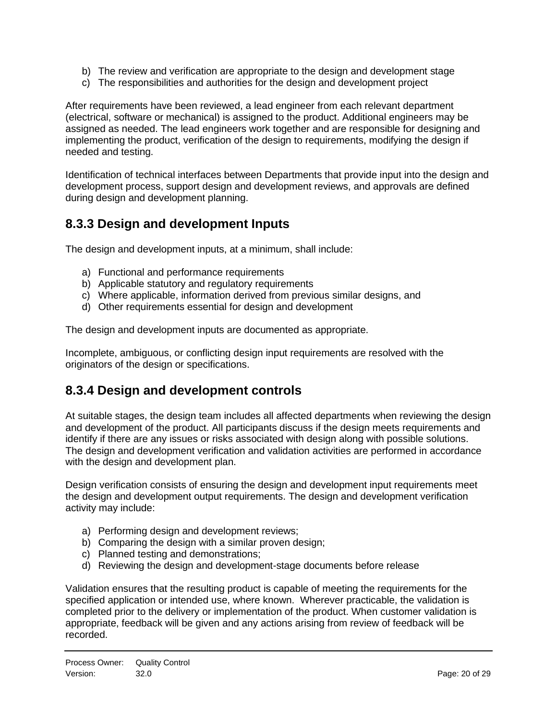- b) The review and verification are appropriate to the design and development stage
- c) The responsibilities and authorities for the design and development project

After requirements have been reviewed, a lead engineer from each relevant department (electrical, software or mechanical) is assigned to the product. Additional engineers may be assigned as needed. The lead engineers work together and are responsible for designing and implementing the product, verification of the design to requirements, modifying the design if needed and testing.

Identification of technical interfaces between Departments that provide input into the design and development process, support design and development reviews, and approvals are defined during design and development planning.

# <span id="page-19-0"></span>**8.3.3 Design and development Inputs**

The design and development inputs, at a minimum, shall include:

- a) Functional and performance requirements
- b) Applicable statutory and regulatory requirements
- c) Where applicable, information derived from previous similar designs, and
- d) Other requirements essential for design and development

The design and development inputs are documented as appropriate.

Incomplete, ambiguous, or conflicting design input requirements are resolved with the originators of the design or specifications.

#### <span id="page-19-1"></span>**8.3.4 Design and development controls**

At suitable stages, the design team includes all affected departments when reviewing the design and development of the product. All participants discuss if the design meets requirements and identify if there are any issues or risks associated with design along with possible solutions. The design and development verification and validation activities are performed in accordance with the design and development plan.

Design verification consists of ensuring the design and development input requirements meet the design and development output requirements. The design and development verification activity may include:

- a) Performing design and development reviews;
- b) Comparing the design with a similar proven design;
- c) Planned testing and demonstrations;
- d) Reviewing the design and development-stage documents before release

Validation ensures that the resulting product is capable of meeting the requirements for the specified application or intended use, where known. Wherever practicable, the validation is completed prior to the delivery or implementation of the product. When customer validation is appropriate, feedback will be given and any actions arising from review of feedback will be recorded.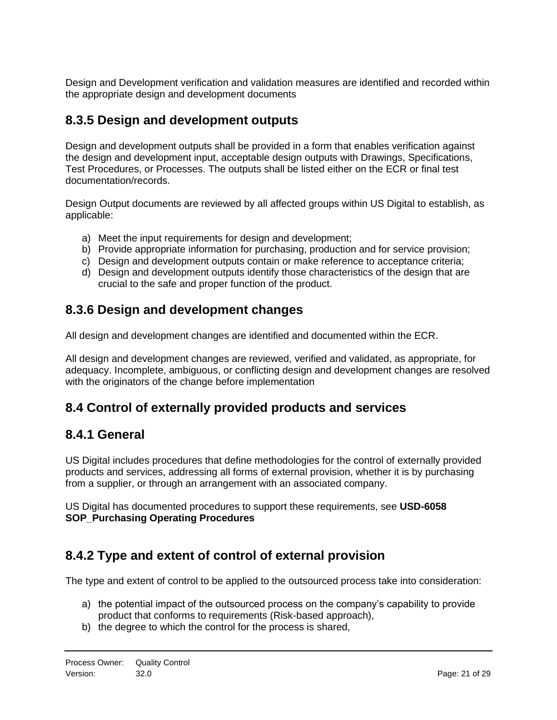Design and Development verification and validation measures are identified and recorded within the appropriate design and development documents

# <span id="page-20-0"></span>**8.3.5 Design and development outputs**

Design and development outputs shall be provided in a form that enables verification against the design and development input, acceptable design outputs with Drawings, Specifications, Test Procedures, or Processes. The outputs shall be listed either on the ECR or final test documentation/records.

Design Output documents are reviewed by all affected groups within US Digital to establish, as applicable:

- a) Meet the input requirements for design and development;
- b) Provide appropriate information for purchasing, production and for service provision;
- c) Design and development outputs contain or make reference to acceptance criteria;
- d) Design and development outputs identify those characteristics of the design that are crucial to the safe and proper function of the product.

# <span id="page-20-1"></span>**8.3.6 Design and development changes**

All design and development changes are identified and documented within the ECR.

All design and development changes are reviewed, verified and validated, as appropriate, for adequacy. Incomplete, ambiguous, or conflicting design and development changes are resolved with the originators of the change before implementation

# <span id="page-20-2"></span>**8.4 Control of externally provided products and services**

#### <span id="page-20-3"></span>**8.4.1 General**

US Digital includes procedures that define methodologies for the control of externally provided products and services, addressing all forms of external provision, whether it is by purchasing from a supplier, or through an arrangement with an associated company.

US Digital has documented procedures to support these requirements, see **USD-6058 SOP\_Purchasing Operating Procedures**

# <span id="page-20-4"></span>**8.4.2 Type and extent of control of external provision**

The type and extent of control to be applied to the outsourced process take into consideration:

- a) the potential impact of the outsourced process on the company's capability to provide product that conforms to requirements (Risk-based approach),
- b) the degree to which the control for the process is shared,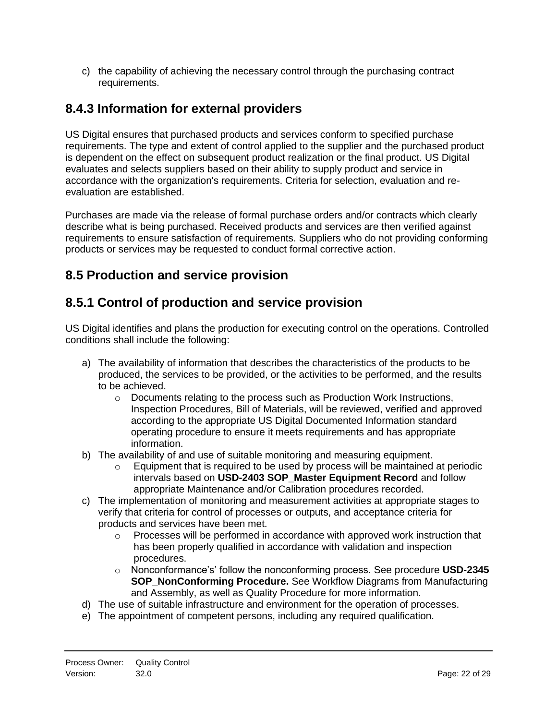c) the capability of achieving the necessary control through the purchasing contract requirements.

# <span id="page-21-0"></span>**8.4.3 Information for external providers**

US Digital ensures that purchased products and services conform to specified purchase requirements. The type and extent of control applied to the supplier and the purchased product is dependent on the effect on subsequent product realization or the final product. US Digital evaluates and selects suppliers based on their ability to supply product and service in accordance with the organization's requirements. Criteria for selection, evaluation and reevaluation are established.

Purchases are made via the release of formal purchase orders and/or contracts which clearly describe what is being purchased. Received products and services are then verified against requirements to ensure satisfaction of requirements. Suppliers who do not providing conforming products or services may be requested to conduct formal corrective action.

# <span id="page-21-1"></span>**8.5 Production and service provision**

# <span id="page-21-2"></span>**8.5.1 Control of production and service provision**

US Digital identifies and plans the production for executing control on the operations. Controlled conditions shall include the following:

- a) The availability of information that describes the characteristics of the products to be produced, the services to be provided, or the activities to be performed, and the results to be achieved.
	- o Documents relating to the process such as Production Work Instructions, Inspection Procedures, Bill of Materials, will be reviewed, verified and approved according to the appropriate US Digital Documented Information standard operating procedure to ensure it meets requirements and has appropriate information.
- b) The availability of and use of suitable monitoring and measuring equipment.
	- $\circ$  Equipment that is required to be used by process will be maintained at periodic intervals based on **USD-2403 SOP\_Master Equipment Record** and follow appropriate Maintenance and/or Calibration procedures recorded.
- c) The implementation of monitoring and measurement activities at appropriate stages to verify that criteria for control of processes or outputs, and acceptance criteria for products and services have been met.
	- $\circ$  Processes will be performed in accordance with approved work instruction that has been properly qualified in accordance with validation and inspection procedures.
	- o Nonconformance's' follow the nonconforming process. See procedure **USD-2345 SOP\_NonConforming Procedure.** See Workflow Diagrams from Manufacturing and Assembly, as well as Quality Procedure for more information.
- d) The use of suitable infrastructure and environment for the operation of processes.
- e) The appointment of competent persons, including any required qualification.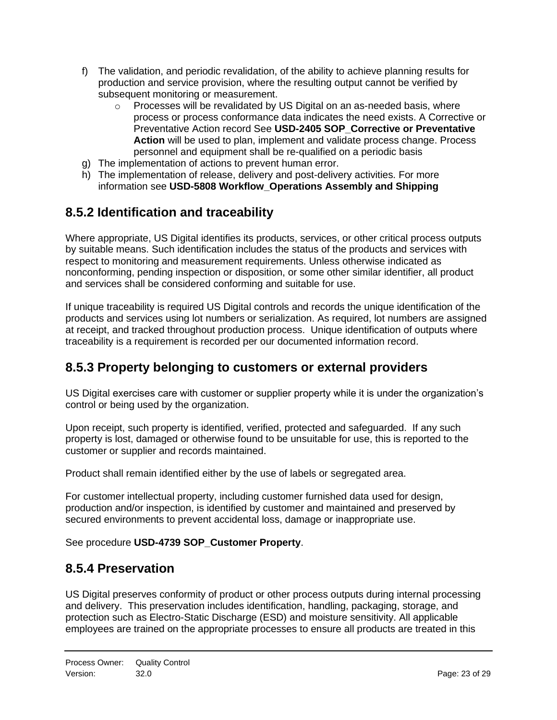- f) The validation, and periodic revalidation, of the ability to achieve planning results for production and service provision, where the resulting output cannot be verified by subsequent monitoring or measurement.
	- $\circ$  Processes will be revalidated by US Digital on an as-needed basis, where process or process conformance data indicates the need exists. A Corrective or Preventative Action record See **USD-2405 SOP\_Corrective or Preventative Action** will be used to plan, implement and validate process change. Process personnel and equipment shall be re-qualified on a periodic basis
- g) The implementation of actions to prevent human error.
- h) The implementation of release, delivery and post-delivery activities. For more information see **USD-5808 Workflow\_Operations Assembly and Shipping**

# <span id="page-22-0"></span>**8.5.2 Identification and traceability**

Where appropriate, US Digital identifies its products, services, or other critical process outputs by suitable means. Such identification includes the status of the products and services with respect to monitoring and measurement requirements. Unless otherwise indicated as nonconforming, pending inspection or disposition, or some other similar identifier, all product and services shall be considered conforming and suitable for use.

If unique traceability is required US Digital controls and records the unique identification of the products and services using lot numbers or serialization. As required, lot numbers are assigned at receipt, and tracked throughout production process. Unique identification of outputs where traceability is a requirement is recorded per our documented information record.

# <span id="page-22-1"></span>**8.5.3 Property belonging to customers or external providers**

US Digital exercises care with customer or supplier property while it is under the organization's control or being used by the organization.

Upon receipt, such property is identified, verified, protected and safeguarded. If any such property is lost, damaged or otherwise found to be unsuitable for use, this is reported to the customer or supplier and records maintained.

Product shall remain identified either by the use of labels or segregated area.

For customer intellectual property, including customer furnished data used for design, production and/or inspection, is identified by customer and maintained and preserved by secured environments to prevent accidental loss, damage or inappropriate use.

<span id="page-22-2"></span>See procedure **USD-4739 SOP\_Customer Property**.

#### **8.5.4 Preservation**

US Digital preserves conformity of product or other process outputs during internal processing and delivery. This preservation includes identification, handling, packaging, storage, and protection such as Electro-Static Discharge (ESD) and moisture sensitivity. All applicable employees are trained on the appropriate processes to ensure all products are treated in this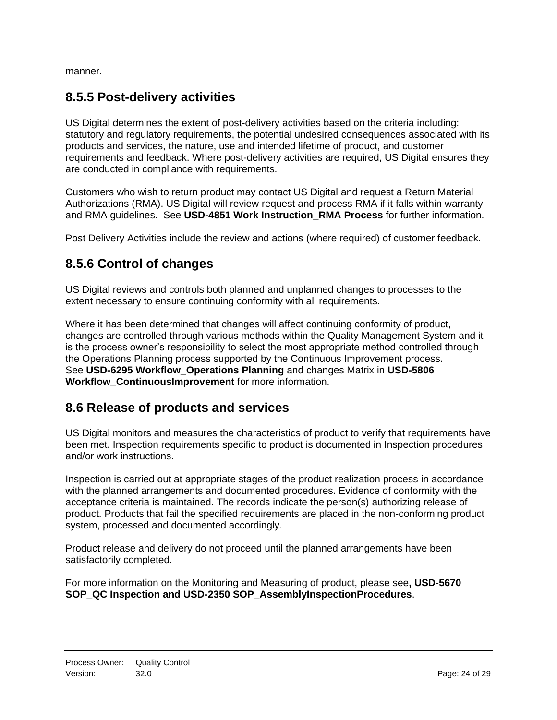<span id="page-23-0"></span>manner.

# **8.5.5 Post-delivery activities**

US Digital determines the extent of post-delivery activities based on the criteria including: statutory and regulatory requirements, the potential undesired consequences associated with its products and services, the nature, use and intended lifetime of product, and customer requirements and feedback. Where post-delivery activities are required, US Digital ensures they are conducted in compliance with requirements.

Customers who wish to return product may contact US Digital and request a Return Material Authorizations (RMA). US Digital will review request and process RMA if it falls within warranty and RMA guidelines. See **USD-4851 Work Instruction\_RMA Process** for further information.

<span id="page-23-1"></span>Post Delivery Activities include the review and actions (where required) of customer feedback.

# **8.5.6 Control of changes**

US Digital reviews and controls both planned and unplanned changes to processes to the extent necessary to ensure continuing conformity with all requirements.

Where it has been determined that changes will affect continuing conformity of product, changes are controlled through various methods within the Quality Management System and it is the process owner's responsibility to select the most appropriate method controlled through the Operations Planning process supported by the Continuous Improvement process. See **USD-6295 Workflow\_Operations Planning** and changes Matrix in **USD-5806 Workflow\_ContinuousImprovement** for more information.

#### <span id="page-23-2"></span>**8.6 Release of products and services**

US Digital monitors and measures the characteristics of product to verify that requirements have been met. Inspection requirements specific to product is documented in Inspection procedures and/or work instructions.

Inspection is carried out at appropriate stages of the product realization process in accordance with the planned arrangements and documented procedures. Evidence of conformity with the acceptance criteria is maintained. The records indicate the person(s) authorizing release of product. Products that fail the specified requirements are placed in the non-conforming product system, processed and documented accordingly.

Product release and delivery do not proceed until the planned arrangements have been satisfactorily completed.

For more information on the Monitoring and Measuring of product, please see**, USD-5670 SOP\_QC Inspection and USD-2350 SOP\_AssemblyInspectionProcedures**.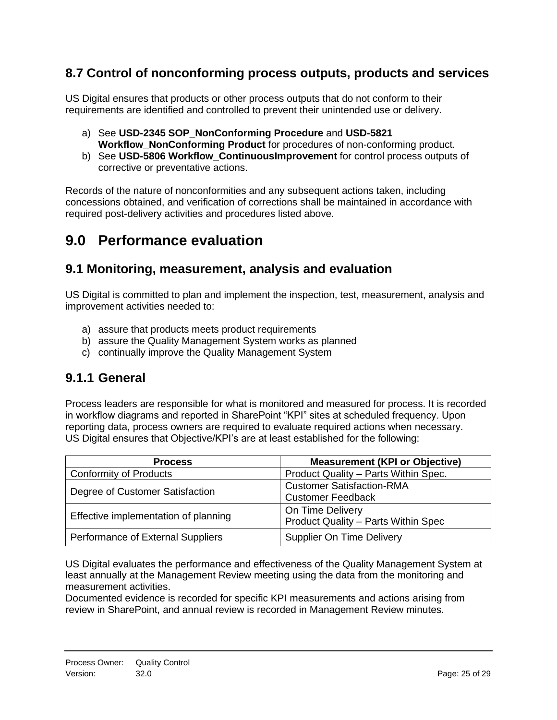# <span id="page-24-0"></span>**8.7 Control of nonconforming process outputs, products and services**

US Digital ensures that products or other process outputs that do not conform to their requirements are identified and controlled to prevent their unintended use or delivery.

- a) See **USD-2345 SOP\_NonConforming Procedure** and **USD-5821 Workflow\_NonConforming Product** for procedures of non-conforming product.
- b) See **USD-5806 Workflow\_ContinuousImprovement** for control process outputs of corrective or preventative actions.

Records of the nature of nonconformities and any subsequent actions taken, including concessions obtained, and verification of corrections shall be maintained in accordance with required post-delivery activities and procedures listed above.

# <span id="page-24-1"></span>**9.0 Performance evaluation**

#### <span id="page-24-2"></span>**9.1 Monitoring, measurement, analysis and evaluation**

US Digital is committed to plan and implement the inspection, test, measurement, analysis and improvement activities needed to:

- a) assure that products meets product requirements
- b) assure the Quality Management System works as planned
- c) continually improve the Quality Management System

#### <span id="page-24-3"></span>**9.1.1 General**

Process leaders are responsible for what is monitored and measured for process. It is recorded in workflow diagrams and reported in SharePoint "KPI" sites at scheduled frequency. Upon reporting data, process owners are required to evaluate required actions when necessary. US Digital ensures that Objective/KPI's are at least established for the following:

| <b>Process</b>                       | <b>Measurement (KPI or Objective)</b>                        |
|--------------------------------------|--------------------------------------------------------------|
| <b>Conformity of Products</b>        | Product Quality - Parts Within Spec.                         |
| Degree of Customer Satisfaction      | <b>Customer Satisfaction-RMA</b><br><b>Customer Feedback</b> |
| Effective implementation of planning | On Time Delivery<br>Product Quality - Parts Within Spec      |
| Performance of External Suppliers    | <b>Supplier On Time Delivery</b>                             |

US Digital evaluates the performance and effectiveness of the Quality Management System at least annually at the Management Review meeting using the data from the monitoring and measurement activities.

Documented evidence is recorded for specific KPI measurements and actions arising from review in SharePoint, and annual review is recorded in Management Review minutes.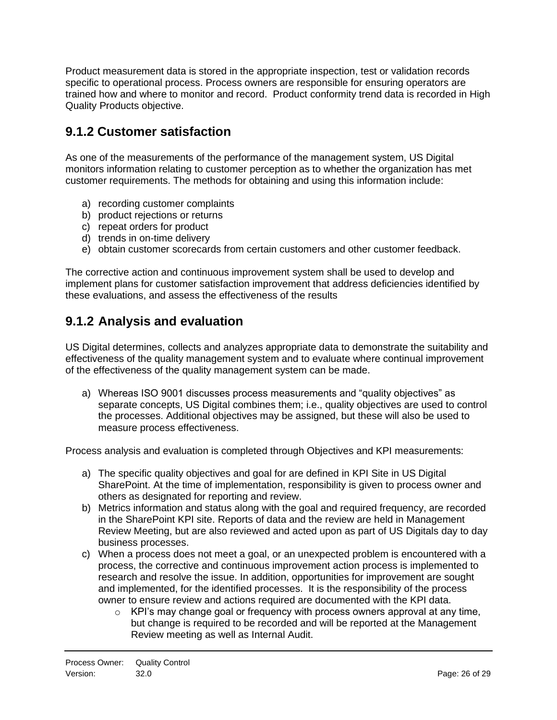Product measurement data is stored in the appropriate inspection, test or validation records specific to operational process. Process owners are responsible for ensuring operators are trained how and where to monitor and record. Product conformity trend data is recorded in High Quality Products objective.

# <span id="page-25-0"></span>**9.1.2 Customer satisfaction**

As one of the measurements of the performance of the management system, US Digital monitors information relating to customer perception as to whether the organization has met customer requirements. The methods for obtaining and using this information include:

- a) recording customer complaints
- b) product rejections or returns
- c) repeat orders for product
- d) trends in on-time delivery
- e) obtain customer scorecards from certain customers and other customer feedback.

The corrective action and continuous improvement system shall be used to develop and implement plans for customer satisfaction improvement that address deficiencies identified by these evaluations, and assess the effectiveness of the results

# <span id="page-25-1"></span>**9.1.2 Analysis and evaluation**

US Digital determines, collects and analyzes appropriate data to demonstrate the suitability and effectiveness of the quality management system and to evaluate where continual improvement of the effectiveness of the quality management system can be made.

a) Whereas ISO 9001 discusses process measurements and "quality objectives" as separate concepts, US Digital combines them; i.e., quality objectives are used to control the processes. Additional objectives may be assigned, but these will also be used to measure process effectiveness.

Process analysis and evaluation is completed through Objectives and KPI measurements:

- a) The specific quality objectives and goal for are defined in KPI Site in US Digital SharePoint. At the time of implementation, responsibility is given to process owner and others as designated for reporting and review.
- b) Metrics information and status along with the goal and required frequency, are recorded in the SharePoint KPI site. Reports of data and the review are held in Management Review Meeting, but are also reviewed and acted upon as part of US Digitals day to day business processes.
- c) When a process does not meet a goal, or an unexpected problem is encountered with a process, the corrective and continuous improvement action process is implemented to research and resolve the issue. In addition, opportunities for improvement are sought and implemented, for the identified processes. It is the responsibility of the process owner to ensure review and actions required are documented with the KPI data.
	- $\circ$  KPI's may change goal or frequency with process owners approval at any time. but change is required to be recorded and will be reported at the Management Review meeting as well as Internal Audit.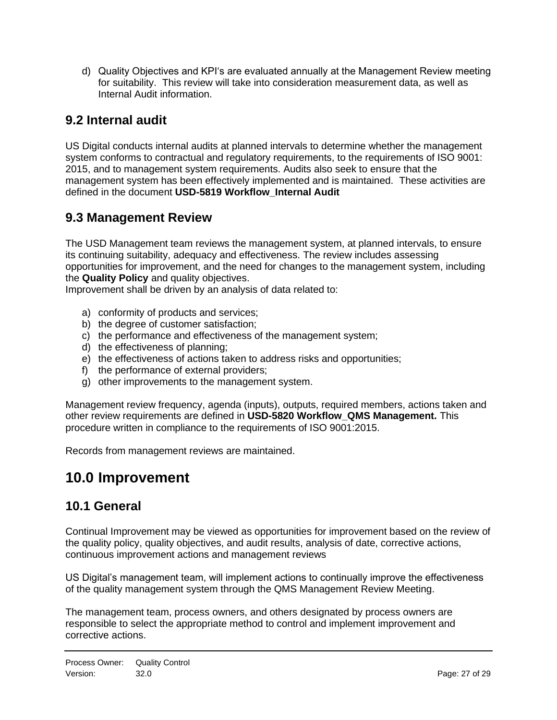d) Quality Objectives and KPI's are evaluated annually at the Management Review meeting for suitability. This review will take into consideration measurement data, as well as Internal Audit information.

# <span id="page-26-0"></span>**9.2 Internal audit**

US Digital conducts internal audits at planned intervals to determine whether the management system conforms to contractual and regulatory requirements, to the requirements of ISO 9001: 2015, and to management system requirements. Audits also seek to ensure that the management system has been effectively implemented and is maintained. These activities are defined in the document **USD-5819 Workflow\_Internal Audit**

# <span id="page-26-1"></span>**9.3 Management Review**

The USD Management team reviews the management system, at planned intervals, to ensure its continuing suitability, adequacy and effectiveness. The review includes assessing opportunities for improvement, and the need for changes to the management system, including the **Quality Policy** and quality objectives.

Improvement shall be driven by an analysis of data related to:

- a) conformity of products and services;
- b) the degree of customer satisfaction;
- c) the performance and effectiveness of the management system;
- d) the effectiveness of planning;
- e) the effectiveness of actions taken to address risks and opportunities;
- f) the performance of external providers;
- g) other improvements to the management system.

Management review frequency, agenda (inputs), outputs, required members, actions taken and other review requirements are defined in **USD-5820 Workflow\_QMS Management.** This procedure written in compliance to the requirements of ISO 9001:2015.

<span id="page-26-2"></span>Records from management reviews are maintained.

# **10.0 Improvement**

# <span id="page-26-3"></span>**10.1 General**

Continual Improvement may be viewed as opportunities for improvement based on the review of the quality policy, quality objectives, and audit results, analysis of date, corrective actions, continuous improvement actions and management reviews

US Digital's management team, will implement actions to continually improve the effectiveness of the quality management system through the QMS Management Review Meeting.

The management team, process owners, and others designated by process owners are responsible to select the appropriate method to control and implement improvement and corrective actions.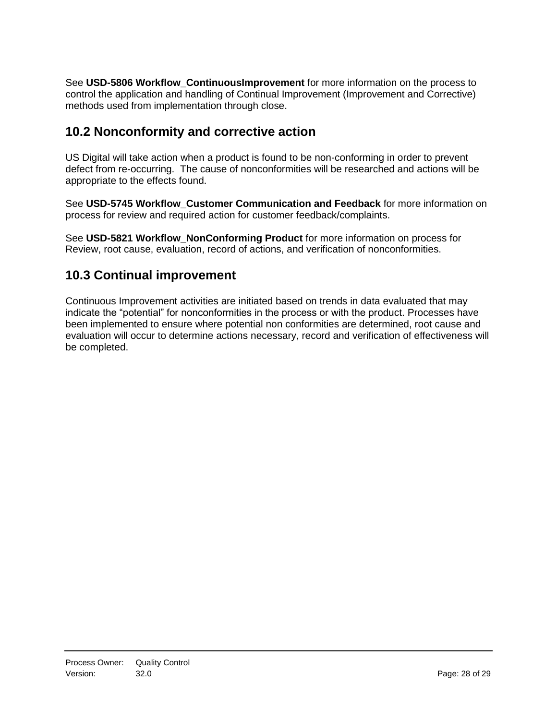See **USD-5806 Workflow\_ContinuousImprovement** for more information on the process to control the application and handling of Continual Improvement (Improvement and Corrective) methods used from implementation through close.

# <span id="page-27-0"></span>**10.2 Nonconformity and corrective action**

US Digital will take action when a product is found to be non-conforming in order to prevent defect from re-occurring. The cause of nonconformities will be researched and actions will be appropriate to the effects found.

See **USD-5745 Workflow\_Customer Communication and Feedback** for more information on process for review and required action for customer feedback/complaints.

See **USD-5821 Workflow\_NonConforming Product** for more information on process for Review, root cause, evaluation, record of actions, and verification of nonconformities.

# <span id="page-27-1"></span>**10.3 Continual improvement**

Continuous Improvement activities are initiated based on trends in data evaluated that may indicate the "potential" for nonconformities in the process or with the product. Processes have been implemented to ensure where potential non conformities are determined, root cause and evaluation will occur to determine actions necessary, record and verification of effectiveness will be completed.